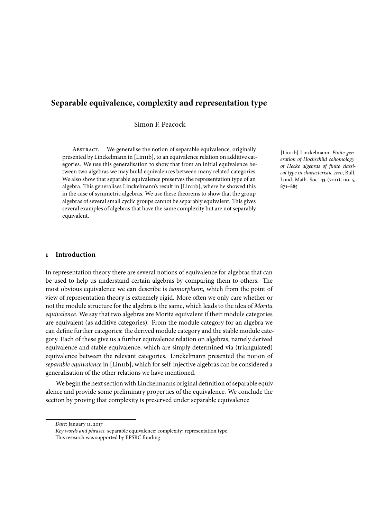# **Separable equivalence, complexity and representation type**

Simon F. Peacock

ABSTRACT. We generalise the notion of separable equivalence, originally presented by Linckelmann in [Lin11b], to an equivalence relation on additive categories. We use this generalisation to show that from an initial equivalence between two algebras we may build equivalences between many related categories. We also show that separable equivalence preserves the representation type of an algebra. This generalises Linckelmann's result in [Lin11b], where he showed this in the case of symmetric algebras. We use these theorems to show that the group algebras of several small cyclic groups cannot be separably equivalent. This gives several examples of algebras that have the same complexity but are not separably equivalent.

[Lin11b] Linckelmann, *Finite generation of Hochschild cohomology of Hecke algebras of finite classical type in characteristic zero*, Bull. Lond. Math. Soc. **43** (2011), no. 5, 871–885

## **1 Introduction**

In representation theory there are several notions of equivalence for algebras that can be used to help us understand certain algebras by comparing them to others. The most obvious equivalence we can describe is *isomorphism*, which from the point of view of representation theory is extremely rigid. More often we only care whether or not the module structure for the algebra is the same, which leads to the idea of *Morita equivalence*. We say that two algebras are Morita equivalent if their module categories are equivalent (as additive categories). From the module category for an algebra we can define further categories: the derived module category and the stable module category. Each of these give us a further equivalence relation on algebras, namely derived equivalence and stable equivalence, which are simply determined via (triangulated) equivalence between the relevant categories. Linckelmann presented the notion of *separable equivalence* in [Lin11b], which for self-injective algebras can be considered a generalisation of the other relations we have mentioned.

We begin the next section with Linckelmann's original definition of separable equivalence and provide some preliminary properties of the equivalence. We conclude the section by proving that complexity is preserved under separable equivalence

*Date*: January 11, 2017

*Key words and phrases.* separable equivalence; complexity; representation type This research was supported by EPSRC funding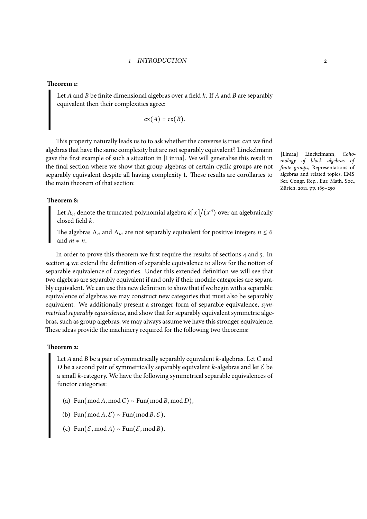#### **Theorem 1:**

Let *A* and *B* be finite dimensional algebras over a field *k*. If *A* and *B* are separably equivalent then their complexities agree:

$$
cx(A) = cx(B).
$$

This property naturally leads us to to ask whether the converse is true: can we find algebras that have the same complexity but are not separably equivalent? Linckelmann gave the first example of such a situation in [Lin11a]. We will generalise this result in the final section where we show that group algebras of certain cyclic groups are not separably equivalent despite all having complexity 1. These results are corollaries to the main theorem of that section:

## **Theorem 8:**

Let  $\Lambda_n$  denote the truncated polynomial algebra  $k[x]/(x^n)$  over an algebraically closed field *k*.

The a[lge](#page-17-0)bras  $\Lambda_n$  and  $\Lambda_m$  are not separably equivalent for positive integers  $n \leq 6$ and  $m \neq n$ 

In order to prove this theorem we first require the results of sections 4 and 5. In section 4 we extend the definition of separable equivalence to allow for the notion of separable equivalence of categories. Under this extended definition we will see that two algebras are separably equivalent if and only if their module categories are separably equivalent. We can use this new definition to show that if we begin with [a](#page-7-0) sepa[ra](#page-11-0)ble equival[en](#page-7-0)ce of algebras we may construct new categories that must also be separably equivalent. We additionally present a stronger form of separable equivalence, *symmetrical separably equivalence*, and show that for separably equivalent symmetric algebras, such as group algebras, we may always assume we have this stronger equivalence. These ideas provide the machinery required for the following two theorems:

## **Theorem 2:**

Let *A*and *B* be a pair of symmetrically separably equivalent *k*-algebras. Let *C* and *D* be a second pair of symmetrically separably equivalent *k*-algebras and let *E* be a sma[ll](#page-9-0) *k*-category. We have the following symmetrical separable equivalences of functor categories:

(a) Fun(mod *<sup>A</sup>*, mod *<sup>C</sup>*) <sup>∼</sup> Fun(mod *<sup>B</sup>*, mod *<sup>D</sup>*),

(b) Fun(mod *A*,  $\mathcal{E}$ ) ~ Fun(mod *B*,  $\mathcal{E}$ ),

(c)  $\text{Fun}(\mathcal{E}, \text{mod } A) \sim \text{Fun}(\mathcal{E}, \text{mod } B).$ 

[Lin11a] Linckelmann, *Cohomology of block algebras of finite groups*, Representations of algebras and related topics, EMS Ser. Congr. Rep., Eur. Math. Soc., Zürich, 2011, pp. 189–250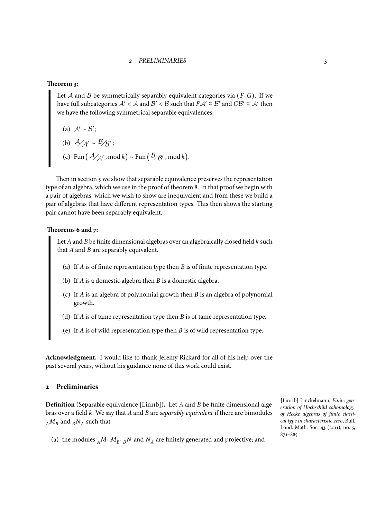#### **Theorem 3:**

Let *A* and *B* be symmetrically separably equivalent categories via  $(F, G)$ . If we have full subcategories  $A' < A$  and  $B' < B$  such that  $FA' \subseteq B'$  and  $GB' \subseteq A'$  then we ha[ve](#page-10-0) the following symmetrical separable equivalences:

(a) 
$$
A' \sim B'
$$
;  
\n(b)  $A'_{A'} \sim B'_{B'}$ ;  
\n(c) Fun  $(A'_{A'}$ , mod  $k) \sim Fun (B'_{B'}$ , mod  $k$ ).

Then in section 5 we show that separable equivalence preserves the representation type of an algebra, which we use in the proof of theorem 8. In that proof we begin with a pair of algebras, which we wish to show are inequivalent and from these we build a pair of algebras that have different representation types. This then shows the starting pair cannot have be[en](#page-11-0) separably equivalent.

## **Theorems 6 and 7:**

Let *A*and *B* be finite dimensional algebras over an algebraically closed field *k* such that *A* and *B* are separably equivalent.

- (a) If *A* is of finite representation type then *B* is of finite representation type.
- (b) If *A* is a domestic algebra then *B* is a domestic algebra.
- (c) If *A* is an algebra of polynomial growth then *B* is an algebra of polynomial growth.
- (d) If *A* is of tame representation type then *B* is of tame representation type.
- (e) If *A* is of wild representation type then *B* is of wild representation type.

**Acknowledgment.** I would like to thank Jeremy Rickard for all of his help over the past several years, without his guidance none of this work could exist.

## **2 Preliminaries**

**Definition** (Separable equivalence [Lin11b])**.** Let *A* and *B* be finite dimensional algebras over a field *k*. We say that *A* and *B* are *separably equivalent* if there are bimodules  $_A M_B$  and  $_B N_A$  such that

(a) the modules  $_A M$ ,  $M_B$ ,  $_B N$  and  $N_A$  are finitely generated and projective; and

[Lin11b] Linckelmann, *Finite generation of Hochschild cohomology of Hecke algebras of finite classical type in characteristic zero*, Bull. Lond. Math. Soc. **43** (2011), no. 5, 871–885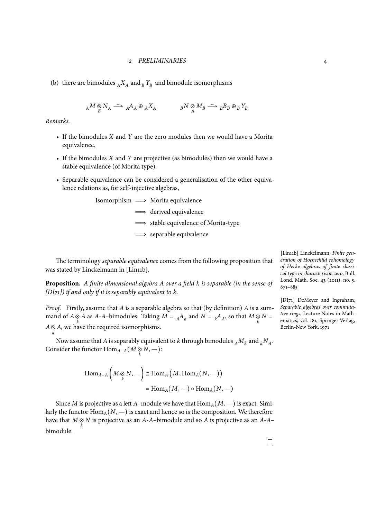(b) there are bimodules  $_A X_A$  and  $_B Y_B$  and bimodule isomorphisms

*<sup>A</sup>M* ⊗ *B N<sup>A</sup>* Ð→<sup>∼</sup> *A A A* ⊕ *A A X <sup>B</sup>N* ⊗ *A M<sup>B</sup>* Ð→<sup>∼</sup> *B B B* ⊕*B BY*

*Remarks.*

- If the bimodules *X* and *Y* are the zero modules then we would have a Morita equivalence.
- If the bimodules *X* and *Y* are projective (as bimodules) then we would have a stable equivalence (of Morita type).
- Separable equivalence can be considered a generalisation of the other equivalence relations as, for self-injective algebras,

Isomorphism  $\implies$  Morita equivalence **⇒** derived equivalence  $\implies$  stable equivalence of Morita-type  $\implies$  separable equivalence

The terminology *separable equivalence* comes from the following proposition that was stated by Linckelmann in [Lin11b].

**Proposition.** *A finite dimensional algebra A over a field k is separable (in the sense of [DI71]) if and only if it is separably equivalent to k.*

*Proof.* Firstly, assume that *A* is a separable algebra so that (by definition) *A* is a summand of *A*  $\otimes$  *A* as *A*-*A*–bimodules. Taking *M* = <sub>*A*</sub>*A*<sub>*k*</sub> and *N* = <sub>*k*</sub>*A*<sub>*A*</sub>, so that *M*  $\otimes$  *N* = *A*  $\otimes$  *A*, we have the required isomorphisms.

Now assume that *A* is separably equivalent to *k* through bimodules  $_A M_k$  and  $_k N_A$ . Consider the functor  $\mathrm{Hom}_{A-A}(M \otimes N, -)$ :

$$
\text{Hom}_{A-A}\left(M \underset{k}{\otimes} N, -\right) \cong \text{Hom}_{A}\left(M, \text{Hom}_{A}(N, -)\right)
$$

$$
= \text{Hom}_{A}(M, -) \circ \text{Hom}_{A}(N, -)
$$

Since *M* is projective as a left *A*–module we have that  $\text{Hom}_{A}(M, -)$  is exact. Similarly the functor  $\text{Hom}_{A}(N, -)$  is exact and hence so is the composition. We therefore have that  $M \underset{k}{\otimes} N$  is projective as an *A*-*A*–bimodule and so *A* is projective as an *A*-*A*– bimodule.

[Lin11b] Linckelmann, *Finite generation of Hochschild cohomology of Hecke algebras of finite classical type in characteristic zero*, Bull. Lond. Math. Soc. **43** (2011), no. 5, 871–885

[DI71] DeMeyer and Ingraham, *Separable algebras over commutative rings*, Lecture Notes in Mathematics, vol. 181, Springer-Verlag, Berlin-New York, 1971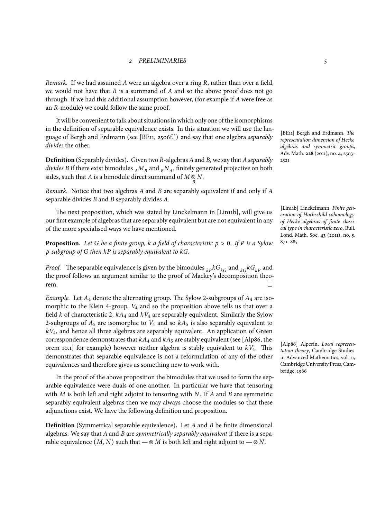*Remark.* If we had assumed *A* were an algebra over a ring *R*, rather than over a field, we would not have that *R* is a summand of *A* and so the above proof does not go through. If we had this additional assumption however, (for example if *A* were free as an *R*-module) we could follow the same proof.

It will be convenient to talk about situations in which only one of the isomorphisms in the definition of separable equivalence exists. In this situation we will use the language of Bergh and Erdmann (see [BE11, 2506f.]) and say that one algebra *separably divides* the other.

**Definition** (Separably divides)**.** Given two *R*-algebras *A*and *B*, we say that *Aseparably divides B* if there exist bimodules  $_A M_B$  and  $_B N_A$ , finitely generated projective on both sides, such that *A* is a bimodule direct summand of  $M \underset{B}{\otimes} N$ .

*Remark.* Notice that two algebras *A* and *B* are separably equivalent if and only if *A* separable divides *B* and *B* separably divides *A*.

The next proposition, which was stated by Linckelmann in [Lin11b], will give us our first example of algebras that are separably equivalent but are not equivalent in any of the more specialised ways we have mentioned.

**Proposition.** *Let <sup>G</sup> be a finite group, <sup>k</sup> a field of characteristic <sup>p</sup>* <sup>&</sup>gt; <sup>0</sup>*. If <sup>P</sup> is a Sylow p-subgroup of G then kP is separably equivalent to kG.*

*Proof.* The separable equivalence is given by the bimodules  $_{k} p k G_{k}$  and  $_{k} G_{k} G_{k}$  and the proof follows an argument similar to the proof of Mackey's decomposition theorem.

*Example.* Let *A*<sup>4</sup> denote the alternating group. The Sylow 2-subgroups of *A*<sup>4</sup> are isomorphic to the Klein 4-group, *V*<sup>4</sup> and so the proposition above tells us that over a field *k* of characteristic 2, *kA*<sup>4</sup> and *kV*<sup>4</sup> are separably equivalent. Similarly the Sylow 2-subgroups of  $A_5$  are isomorphic to  $V_4$  and so  $kA_5$  is also separably equivalent to *kV*4, and hence all three algebras are separably equivalent. An application of Green correspondence demonstrates that  $kA_4$  and  $kA_5$  are stably equivalent (see [Alp86, theorem 10.1] for example) however neither algebra is stably equivalent to *kV*4. This demonstrates that separable equivalence is not a reformulation of any of the other equivalences and therefore gives us something new to work with.

In the proof of the above proposition the bimodules that we used to form the separable equivalence were duals of one another. In particular we have that tensoring with *M* is both left and right adjoint to tensoring with *N*. If *A* and *B* are symmetric separably equivalent algebras then we may always choose the modules so that these adjunctions exist. We have the following definition and proposition.

**Definition** (Symmetrical separable equivalence)**.** Let *A* and *B* be finite dimensional algebras. We say that *A* and *B* are *symmetrically separably equivalent* if there is a separable equivalence  $(M, N)$  such that —  $\otimes M$  is both left and right adjoint to —  $\otimes N$ .

[BE11] Bergh and Erdmann, *The representation dimension of Hecke algebras and symmetric groups*, Adv. Math. **228** (2011), no. 4, 2503– 2521

[Lin11b] Linckelmann, *Finite generation of Hochschild cohomology of Hecke algebras of finite classical type in characteristic zero*, Bull. Lond. Math. Soc. **43** (2011), no. 5, 871–885

[Alp86] Alperin, *Local representation theory*, Cambridge Studies in Advanced Mathematics, vol. 11, Cambridge University Press, Cambridge, 1986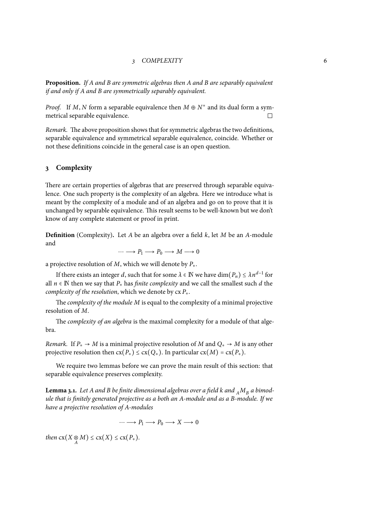## *3 COMPLEXITY* 6

**Proposition.** *If A and B are symmetric algebras then A and B are separably equivalent if and only if A and B are symmetrically separably equivalent.*

*Proof.* If *M*, *N* form a separable equivalence then  $M \oplus N^*$  and its dual form a symmetrical separable equivalence.  $\Box$ 

*Remark.* The above proposition shows that for symmetric algebras the two definitions, separable equivalence and symmetrical separable equivalence, coincide. Whether or not these definitions coincide in the general case is an open question.

## <span id="page-5-0"></span>**3 Complexity**

There are certain properties of algebras that are preserved through separable equivalence. One such property is the complexity of an algebra. Here we introduce what is meant by the complexity of a module and of an algebra and go on to prove that it is unchanged by separable equivalence. This result seems to be well-known but we don't know of any complete statement or proof in print.

**Definition** (Complexity)**.** Let *A* be an algebra over a field *k*, let *M* be an *A*-module and

$$
\cdots \longrightarrow P_1 \longrightarrow P_0 \longrightarrow M \longrightarrow 0
$$

a projective resolution of *M*, which we will denote by *P∗*.

If there exists an integer *d*, such that for some  $\lambda \in \mathbb{N}$  we have dim $(P_n) \leq \lambda n^{d-1}$  for all  $n \in \mathbb{N}$  then we say that  $P_*$  has *finite complexity* and we call the smallest such *d* the *complexity of the resolution*, which we denote by cx *P∗*.

The *complexity of the module M* is equal to the complexity of a minimal projective resolution of *M*.

The *complexity of an algebra* is the maximal complexity for a module of that algebra.

*Remark.* If  $P_* \to M$  is a minimal projective resolution of M and  $Q_* \to M$  is any other projective resolution then  $cx(P_*) \leq cx(Q_*)$ . In particular  $cx(M) = cx(P_*)$ .

We require two lemmas before we can prove the main result of this section: that separable equivalence preserves complexity.

**Lemma 3.1.** Let A and B be finite dimensional algebras over a field k and  $_A M_B$  a bimod*ule that is finitely generated projective as a both an A-module and as a B-module. If we have a projective resolution of A-modules*

 $\cdots \longrightarrow P_1 \longrightarrow P_0 \longrightarrow X \longrightarrow 0$ 

*then*  $cx(X \underset{A}{\otimes} M) \leq cx(X) \leq cx(P_{*}).$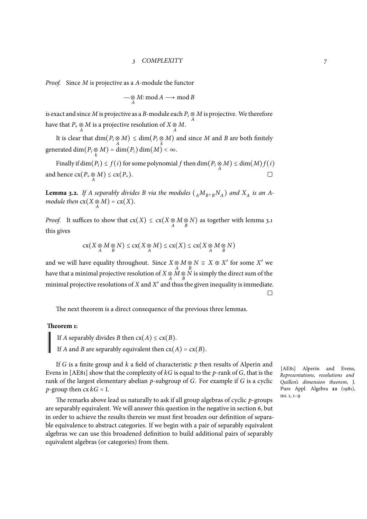*Proof.* Since *M* is projective as a *A*-module the functor

$$
\mathop{\mathop{\longrightarrow}\limits_{A}} M:\mathop{\rm mod}\nolimits A\mathop{\longrightarrow}\limits\mathop{\rm mod}\nolimits B
$$

is exact and since  $M$  is projective as a  $B$ -module each  $P_i \underset{A}{\otimes} M$  is projective. We therefore have that  $P_* \underset{A}{\otimes} M$  is a projective resolution of  $X \underset{A}{\otimes} M$ .

It is clear that  $\dim(P_i \otimes M) \leq \dim(P_i \otimes M)$  and since *M* and *B* are both finitely  $g$ enerated dim $(P_i \otimes M) = \dim(P_i) \dim(M) < \infty$ .

Finally if  $\dim(P_i) \leq f(i)$  for some polynomial  $f$  then  $\dim(P_i \otimes M) \leq \dim(M)f(i)$ and hence  $cx(P_* \underset{A}{\otimes} M) \leq cx(P_*)$ .

**Lemma 3.2.** If A separably divides B via the modules  $({}_A M_B, {}_B N_A)$  and  $X_A$  is an A*module then*  $cx(X \underset{A}{\otimes} M) = cx(X)$ *.* 

*Proof.* It suffices to show that  $cx(X) \leq cx(X \otimes M \otimes N)$  as together with lemma 3.1 this gives

$$
\mathrm{cx}\big(X\underset{A}{\otimes}M\underset{B}{\otimes}N\big)\leq\mathrm{cx}\big(X\underset{A}{\otimes}M\big)\leq\mathrm{cx}\big(X\big)\leq\mathrm{cx}\big(X\underset{A}{\otimes}M\underset{B}{\otimes}N\big)
$$

and we will have equality throughout. Since  $X \otimes M \otimes N \cong X \oplus X'$  for some  $X'$  we have that a minimal projective resolution of  $X \underset{A}{\otimes} M \underset{B}{\otimes} N$  is simply the direct sum of the minimal projective resolutions of *X* and *X* ′ and thus the given inequality is immediate.  $\Box$ 

The next theorem is a direct consequence of the previous three lemmas.

## **Theorem 1:**

If *A* separably divides *B* then  $cx(A) \leq cx(B)$ .

If *A* and *B* are separably equivalent then  $cx(A) = cx(B)$ .

If *G* is a finite group and *k* a field of characteristic *p* then results of Alperin and Evens in [AE81] show that the complexity of *kG* is equal to the *p*-rank of *G*, that is the rank of the largest elementary abelian *p*-subgroup of *G*. For example if *G* is a cyclic *p*-group then  $cx \, kG = 1$ .

The remarks above lead us naturally to ask if all group algebras of cyclic *p*-groups are separably equivalent. We will answer this question in the negative in section 6, but in order to achieve the results therein we must first broaden our definition of separable equivalence to abstract categories. If we begin with a pair of separably equivalent algebras we can use this broadened definition to build additional pairs of separably equivalent algebras (or categories) from them.

[AE81] Alperin and Evens, *Representations, resolutions and Quillen's dimension theorem*, J. Pure Appl. Algebra **22** (1981), no. 1, 1–9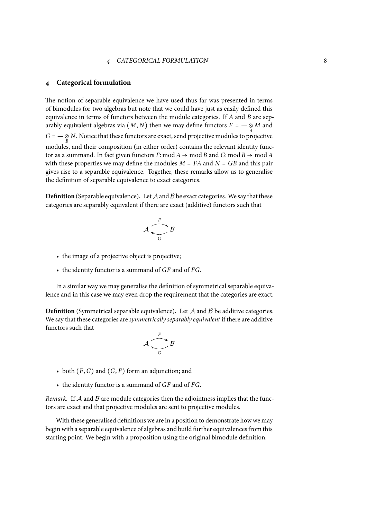## <span id="page-7-0"></span>**4 Categorical formulation**

The notion of separable equivalence we have used thus far was presented in terms of bimodules for two algebras but note that we could have just as easily defined this equivalence in terms of functors between the module categories. If *A* and *B* are separably equivalent algebras via  $(M, N)$  then we may define functors  $F = -\frac{Q}{A}M$  and  $G = -\otimes N$ . Notice that these functors are exact, send projective modules to projective modules, and their composition (in either order) contains the relevant identity functor as a summand. In fact given functors *F*∶ mod *A* → mod *B* and *G*∶ mod *B* → mod *A* with these properties we may define the modules  $M = FA$  and  $N = GB$  and this pair gives rise to a separable equivalence. Together, these remarks allow us to generalise the definition of separable equivalence to exact categories.

**Definition** (Separable equivalence)**.** Let*A*and*B* be exact categories. We say that these categories are separably equivalent if there are exact (additive) functors such that

$$
\mathcal{A} \xrightarrow[G]{F} \mathcal{B}
$$

- the image of a projective object is projective;
- the identity functor is a summand of *GF* and of *FG*.

In a similar way we may generalise the definition of symmetrical separable equivalence and in this case we may even drop the requirement that the categories are exact.

**Definition** (Symmetrical separable equivalence)**.** Let *A* and *B* be additive categories. We say that these categories are *symmetrically separably equivalent* if there are additive functors such that

$$
\mathcal{A} \xrightarrow[G]{} \mathcal{B}
$$

- both  $(F, G)$  and  $(G, F)$  form an adjunction; and
- the identity functor is a summand of *GF* and of *FG*.

*Remark.* If *A* and *B* are module categories then the adjointness implies that the functors are exact and that projective modules are sent to projective modules.

With these generalised definitions we are in a position to demonstrate how we may begin with a separable equivalence of algebras and build further equivalences from this starting point. We begin with a proposition using the original bimodule definition.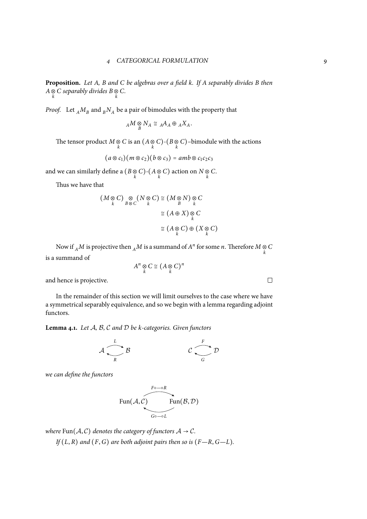**Proposition.** *Let A, B and C be algebras over a field k. If A separably divides B then A*  $\otimes$  *C separably divides B*  $\otimes$  *C*.

*Proof.* Let  $_A M_B$  and  $_B N_A$  be a pair of bimodules with the property that

$$
{}_A M \underset{B}{\otimes} N_A \cong {}_A A_A \oplus {}_A X_A.
$$

The tensor product  $M \underset{k}{\otimes} C$  is an  $(A \underset{k}{\otimes} C)$ - $(B \underset{k}{\otimes} C)$ -bimodule with the actions

$$
(a\otimes c_1)(m\otimes c_2)(b\otimes c_3)=amb\otimes c_1c_2c_3
$$

and we can similarly define a  $(B \otimes C)$ - $(A \otimes C)$  action on  $N \otimes C$ .

Thus we have that

$$
(M \underset{k}{\otimes} C) \underset{B \otimes C}{\otimes} (N \underset{k}{\otimes} C) \cong (M \underset{B}{\otimes} N) \underset{k}{\otimes} C
$$

$$
\cong (A \oplus X) \underset{k}{\otimes} C
$$

$$
\cong (A \underset{k}{\otimes} C) \oplus (X \underset{k}{\otimes} C)
$$

Now if  $_A M$  is projective then  $_A M$  is a summand of  $A^n$  for some *n*. Therefore  $M \underset{k}{\otimes} C$ is a summand of

 $A^n \underset{k}{\otimes} C \cong (A \underset{k}{\otimes} C)^n$ 

and hence is projective.

In the remainder of this section we will limit ourselves to the case where we have a symmetrical separably equivalence, and so we begin with a lemma regarding adjoint functors.

**Lemma 4.1.** *Let A, B, C and D be k-categories. Given functors*

$$
\mathcal{A} \xrightarrow{L} \mathcal{B} \qquad \qquad \mathcal{C} \xrightarrow{F} \mathcal{D}
$$

*we can define the functors*

$$
\text{Fun}(\mathcal{A}, \mathcal{C}) \qquad \qquad \text{Fun}(\mathcal{B}, \mathcal{D})
$$
\n
$$
\overbrace{\text{Geo}-\circ L}^{F\circ -\circ R}
$$

*where*  $\text{Fun}(\mathcal{A}, \mathcal{C})$  *denotes the category of functors*  $\mathcal{A} \rightarrow \mathcal{C}$ *.* 

*If* (*L*, *R*) *and* (*F*,*G*) *are both adjoint pairs then so is* (*F—R*,*G—L*)*.*

 $\Box$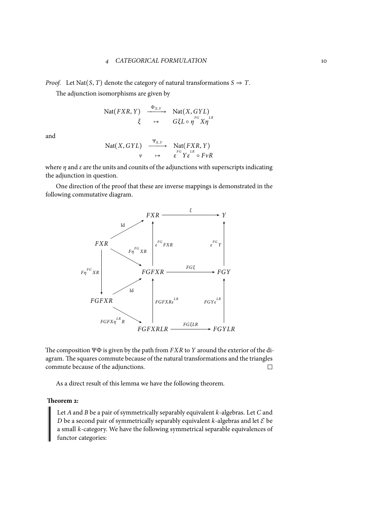*Proof.* Let Nat(*S*, *T*) denote the category of natural transformations *S*  $\Rightarrow$  *T*.

The adjunction isomorphisms are given by

$$
\begin{array}{ccc}\n\text{Nat}(FXR, Y) & \xrightarrow{\Phi_{X,Y}} & \text{Nat}(X, GYL) \\
\xi & \mapsto & G\xi L \circ \eta \text{or } X\eta \text{or} \\
\end{array}
$$

and

$$
\begin{array}{ccc}\n\text{Nat}(X, GYL) & \xrightarrow{\Psi_{X,Y}} & \text{Nat}(FXR, Y) \\
v & \mapsto & \varepsilon^{FG} Y \varepsilon^{LR} \circ F \nu R\n\end{array}
$$

where  $\eta$  and  $\varepsilon$  are the units and counits of the adjunctions with superscripts indicating the adjunction in question.

One direction of the proof that these are inverse mappings is demonstrated in the following commutative diagram.



The composition ΨΦ is given by the path from *FXR* to *Y* around the exterior of the diagram. The squares commute because of the natural transformations and the triangles commute because of the adjunctions.  $\Box$ 

As a direct result of this lemma we have the following theorem.

#### <span id="page-9-0"></span>**Theorem 2:**

Let *A*and *B* be a pair of symmetrically separably equivalent *k*-algebras. Let *C* and *D* be a second pair of symmetrically separably equivalent *k*-algebras and let *E* be a small *k*-category. We have the following symmetrical separable equivalences of functor categories: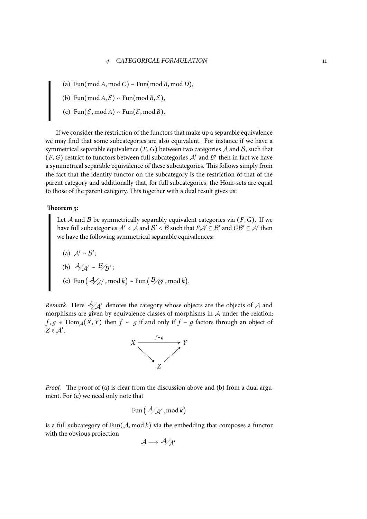- (a) Fun(mod *<sup>A</sup>*, mod *<sup>C</sup>*) <sup>∼</sup> Fun(mod *<sup>B</sup>*, mod *<sup>D</sup>*),
- (b) Fun(mod *A*,  $\mathcal{E}$ ) ∼ Fun(mod *B*,  $\mathcal{E}$ ),
- (c) Fun(*E*, mod *<sup>A</sup>*) <sup>∼</sup> Fun(*E*, mod *<sup>B</sup>*).

If we consider the restriction of the functors that make up a separable equivalence we may find that some subcategories are also equivalent. For instance if we have a symmetrical separable equivalence  $(F, G)$  between two categories  $A$  and  $B$ , such that  $(F, G)$  restrict to functors between full subcategories  $A'$  and  $B'$  then in fact we have a symmetrical separable equivalence of these subcategories. This follows simply from the fact that the identity functor on the subcategory is the restriction of that of the parent category and additionally that, for full subcategories, the Hom-sets are equal to those of the parent category. This together with a dual result gives us:

#### **Theorem 3:**

<span id="page-10-0"></span>Let *A* and *B* be symmetrically separably equivalent categories via  $(F, G)$ . If we have full subcategories  $A' < A$  and  $B' < B$  such that  $FA' \subseteq B'$  and  $GB' \subseteq A'$  then we have the following symmetrical separable equivalences:

(a) 
$$
A' \sim B'
$$
;  
\n(b)  $A/A' \sim B/B'$ ;  
\n(c) Fun  $(A/A'$ , mod k) ~ Fun  $(B/B'$ , mod k).

<span id="page-10-1"></span>*Remark.* Here  $\mathcal{A}_{\mathcal{A}}$ <sup>*'*</sup> denotes the category whose objects are the objects of  $\mathcal{A}$  and morphisms are given by equivalence classes of morphisms in *A* under the relation: *f*, *g* ∈ Hom<sub>*A*</sub>(*X*, *Y*) then *f* ∼ *g* if and only if *f* − *g* factors through an object of *<sup>Z</sup>* <sup>∈</sup> *<sup>A</sup>*′ .



*Proof.* The proof of (a) is clear from the discussion above and (b) from a dual argument. For (c) we need only note that

$$
\text{Fun}\big(\mathcal{A}_{\mathcal{A}'}, \text{mod } k\big)
$$

 $\mathbb{R}^n$ 

is a full s[ubca](#page-10-1)tegory of  $Fun(A, mod k)$  via the embedding that composes a functor with the obvious projection

$$
\mathcal{A} \longrightarrow \mathcal{A}_{\mathcal{A}}'
$$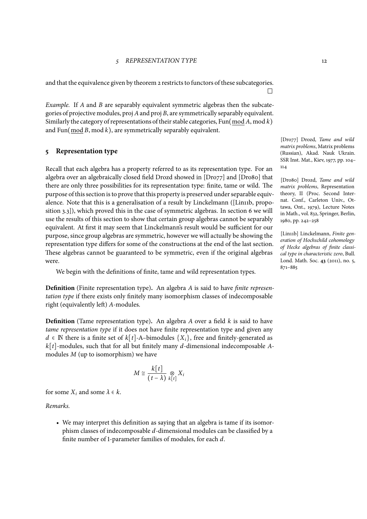and that the equivalence given by theorem 2 restricts to functors of these subcategories.

*Example.* If *A* and *B* are separably equivalent symmetric algebras then the subcategories of projective modules, proj *A*and pr[oj](#page-9-0) *B*, are symmetrically separably equivalent. Similarly the category of representations of their stable categories, Fun(mod *A*, mod *k*) and Fun(mod *B*, mod *k*), are symmetrically separably equivalent.

## **5 Representation type**

<span id="page-11-0"></span>Recall that each algebra has a property referred to as its representation type. For an algebra over an algebraically closed field Drozd showed in [Dro77] and [Dro80] that there are only three possibilities for its representation type: finite, tame or wild. The purpose of this section is to prove that this property is preserved under separable equivalence. Note that this is a generalisation of a result by Linckelmann ([Lin11b, proposition 3.3]), which proved this in the case of symmetric algebras. In section 6 we will use the results of this section to show that certain group algebras cannot be separably equivalent. At first it may seem that Linckelmann's result would be sufficient for our purpose, since group algebras are symmetric, however we will actually be showing the representation type differs for some of the constructions at the end of the la[st](#page-16-0) section. These algebras cannot be guaranteed to be symmetric, even if the original algebras were.

We begin with the definitions of finite, tame and wild representation types.

**Definition** (Finite representation type)**.** An algebra *A* is said to have *finite representation type* if there exists only finitely many isomorphism classes of indecomposable right (equivalently left) *A*-modules.

**Definition** (Tame representation type)**.** An algebra *A* over a field *k* is said to have *tame representation type* if it does not have finite representation type and given any *d* ∈ **N** there is a finite set of *k*[*t*]-A–bimodules  $\{X_i\}$ , free and finitely-generated as *k*[*t*]-modules, such that for all but finitely many *d*-dimensional indecomposable *A*modules *M* (up to isomorphism) we have

$$
M \cong \frac{k[t]}{(t-\lambda)} \underset{k[t]}{\otimes} X_i
$$

for some  $X_i$  and some  $\lambda \in k$ .

*Remarks.*

• We may interpret this definition as saying that an algebra is tame if its isomorphism classes of indecomposable *d*-dimensional modules can be classified by a finite number of 1-parameter families of modules, for each *d*.

[Dro77] Drozd, *Tame and wild matrix problems*, Matrix problems (Russian), Akad. Nauk Ukrain. SSR Inst. Mat., Kiev, 1977, pp. 104– 114

[Dro80] Drozd, *Tame and wild matrix problems*, Representation theory, II (Proc. Second Internat. Conf., Carleton Univ., Ottawa, Ont., 1979), Lecture Notes in Math., vol. 832, Springer, Berlin, 1980, pp. 242–258

[Lin11b] Linckelmann, *Finite generation of Hochschild cohomology of Hecke algebras of finite classical type in characteristic zero*, Bull. Lond. Math. Soc. **43** (2011), no. 5, 871–885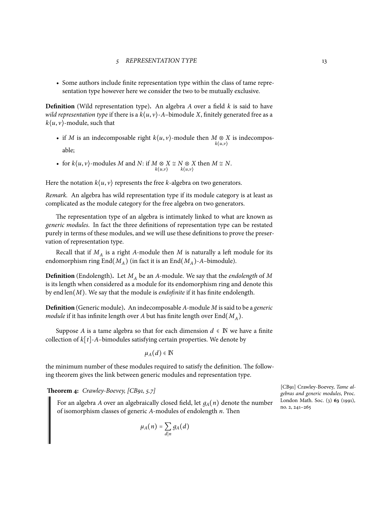• Some authors include finite representation type within the class of tame representation type however here we consider the two to be mutually exclusive.

**Definition** (Wild representation type)**.** An algebra *A* over a field *k* is said to have *wild representation type* if there is a  $k(u, v)$ -*A*-bimodule *X*, finitely generated free as a  $k\langle u, v \rangle$ -module, such that

- if *M* is an indecomposable right  $k\langle u, v \rangle$ -module then  $M \otimes X$  is indecompos*k*⟨*u*,*v*⟩ able;
- for  $k\langle u, v \rangle$ -modules *M* and *N*: if  $M \otimes X \cong N \otimes X$  then  $M \cong N$ . *k*⟨*u*,*v*⟩ *k*⟨*u*,*v*⟩

Here the notation  $k\langle u, v \rangle$  represents the free *k*-algebra on two generators.

*Remark.* An algebra has wild representation type if its module category is at least as complicated as the module category for the free algebra on two generators.

The representation type of an algebra is intimately linked to what are known as *generic modules*. In fact the three definitions of representation type can be restated purely in terms of these modules, and we will use these definitions to prove the preservation of representation type.

Recall that if *M<sup>A</sup>* is a right *A*-module then *M* is naturally a left module for its endomorphism ring  $\text{End}(M_A)$  (in fact it is an  $\text{End}(M_A)$ -*A*-bimodule).

**Definition** (Endolength)**.** Let *M<sup>A</sup>* be an *A*-module. We say that the *endolength* of *M* is its length when considered as a module for its endomorphism ring and denote this by end len(*M*). We say that the module is *endofinite* if it has finite endolength.

**Definition** (Generic module)**.** An indecomposable *A*-module *M* is said to be a *generic module* if it has infinite length over  $A$  but has finite length over  $\text{End}(M_A).$ 

Suppose *A* is a tame algebra so that for each dimension  $d \in \mathbb{N}$  we have a finite collection of  $k[t]$ - $A$ -bimodules satisfying certain properties. We denote by

$$
\mu_A(d)\in\mathbb{N}
$$

the minimum number of these modules required to satisfy the definition. The following theorem gives the link between generic modules and representation type.

<span id="page-12-0"></span>**Theorem 4:** *Crawley-Boevey, [CB91, 5.7]*

For an algebra *A* over an algebraically closed field, let  $q_A(n)$  denote the number of isomorphism classes of generic *A*-modules of endolength *n*. Then

$$
\mu_A(n) = \sum_{d|n} g_A(d)
$$

[CB91] Crawley-Boevey, *Tame algebras and generic modules*, Proc. London Math. Soc. (3) **63** (1991), no. 2, 241–265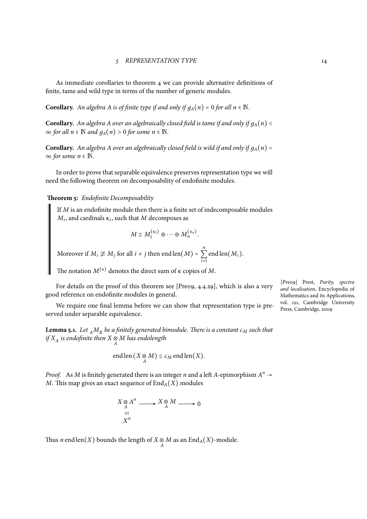As immediate corollaries to theorem 4 we can provide alternative definitions of finite, tame and wild type in terms of the number of generic modules.

**Corollary.** *An algebra A is of finite type if and only if*  $g_A(n) = 0$  *for all*  $n \in \mathbb{N}$ *.* 

**Corollary.** An algebra A over an algebraically closed field is tame if and only if  $g_A(n)$  <  $\infty$  *for all*  $n \in \mathbb{N}$  *and*  $g_A(n) > 0$  *for some*  $n \in \mathbb{N}$ *.* 

**Corollary.** An algebra A over an algebraically closed field is wild if and only if  $g_A(n)$  =  $\infty$  *for some n* ∈ **N**.

In order to prove that separable equivalence preserves representation type we will need the following theorem on decomposability of endofinite modules.

**Theorem 5:** *Endofinite Decomposability*

If *M* is an endofinite module then there is a finite set of indecomposable modules  $M_i$ , and cardinals  $\kappa_i$ , such that  $M$  decomposes as

$$
M \cong M_1^{(\kappa_1)} \oplus \cdots \oplus M_n^{(\kappa_n)}.
$$

Moreover if  $M_i \not\cong M_j$  for all  $i \neq j$  then end len $(M)$  = *n* ∑ *i*=1 end len(*Mi*).

The notation  $M^{(\kappa)}$  denotes the direct sum of  $\kappa$  copies of  $M$ .

For details on the proof of this theorem see [Pre09, 4.4.29], which is also a very good reference on endofinite modules in general.

We require one final lemma before we can show that representation type is preserved under separable equivalence.

**Lemma 5.1.** Let  $_A M_B$  be a finitely generated bimodule. There is a constant  $c_M$  such that *if X<sup>A</sup> is endofinite then X* ⊗ *A M has endolength*

$$
end len(X \underset{A}{\otimes} M) \leq c_M end len(X).
$$

*Proof.* As *M* is finitely generated there is an integer *n* and a left *A*-epimorphism  $A^n \rightarrow$ *M*. This map gives an exact sequence of  $\text{End}_{A}(X)$  modules

$$
X \underset{A}{\otimes} A^n \xrightarrow{X \underset{A}{\otimes} M} X \underset{A}{\otimes} M \xrightarrow{X \underset{B}{\otimes} A}
$$

Thus *n* end len(*X*) bounds the length of *X*  $\otimes$  *M* as an End<sub>*A*</sub>(*X*)-module.

[Pre09] Prest, *Purity, spectra and localisation*, Encyclopedia of Mathematics and its Applications, vol. 121, Cambridge University Press, Cambridge, 2009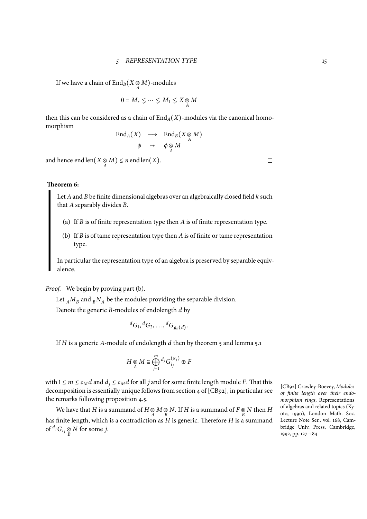If we have a chain of  $\text{End}_B(X \otimes M)$ -modules

$$
0 = M_r \subsetneq \cdots \subsetneq M_1 \subsetneq X \underset{A}{\otimes} M
$$

then this can be considered as a chain of  $\text{End}_{A}(X)$ -modules via the canonical homomorphism

$$
\operatorname{End}_A(X) \longrightarrow \operatorname{End}_B(X \underset{A}{\otimes} M) \n\phi \mapsto \phi \underset{A}{\otimes} M
$$

and hence  $\text{endlen}(X \underset{A}{\otimes} M) \leq n \text{endlen}(X)$ .

## **Theorem 6:**

<span id="page-14-2"></span>Let *A*and *B* be finite dimensional algebras over an algebraically closed field *k* such that *A* separably divides *B*.

- (a) If *B* is of finite representation type then *A* is of finite representation type.
- (b) If *B* is of tame representation type then *A* is of finite or tame representation type.

<span id="page-14-1"></span><span id="page-14-0"></span>In particular the representation type of an algebra is preserved by separable equivalence.

*Proof.* We begin by proving part (b).

Let  $_A M_B$  and  $_B N_A$  be the modules providing the separable division.

Denote the generic *B*-modules of endolength *d* by

$$
{}^dG_1, {}^dG_2, \ldots, {}^dG_{g_B(d)}
$$

.

If *H* is a generic *A*-module of endolength *d* then by theorem 5 and lemma 5.1

$$
H \underset{A}{\otimes} M \cong \bigoplus_{j=1}^{m} {}^{d_{j}}G_{i_{j}}^{(\kappa_{j})} \oplus F
$$

with  $1 \le m \le c_M d$  and  $d_j \le c_M d$  for all *j* and for some finite length module *F*. That this decomposition is essentially unique follows from section 4 of [CB92], in particular see the remarks following proposition 4.5.

We have that *H* is a summand of *H* ⊗ *M* ⊗ *N*. If *H* is a summand of *F* ⊗ *N* then *H*  $\frac{1}{B}$ has finite length, which is a contradiction as *H* is generic. Therefore *H* is a summand of  ${}^{d_j}G_i$   $\underset{B}{\otimes}$  *N* for some *j*.

[CB92] Crawley-Boevey, *Modules of finite length over their endomorphism rings*, Representations of algebras and related topics (Kyoto, 1990), London Math. Soc. Lecture Note Ser., vol. 168, Cambridge Univ. Press, Cambridge, 1992, pp. 127–184

 $\Box$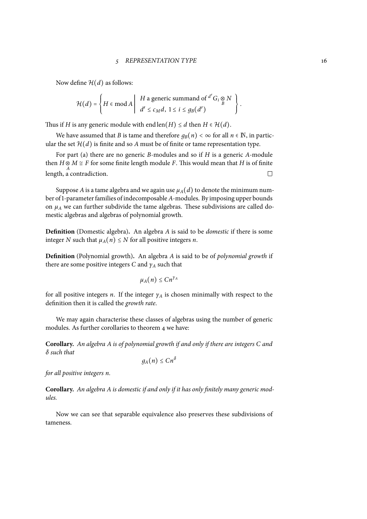Now define  $H(d)$  as follows:

$$
\mathcal{H}(d) = \left\{ H \in \mathop{\mathrm{mod}}\nolimits A \middle| \begin{array}{c} H \text{ a generic summand of }^{d'} G_i \underset{B}{\otimes} N \\ d' \leq c_M d, \ 1 \leq i \leq g_B(d') \end{array} \right\}.
$$

Thus if *H* is any generic module with end len(*H*)  $\leq d$  then *H*  $\in$  *H*(*d*).

We have assumed that *B* is tame and therefore  $q_B(n) < \infty$  for all  $n \in \mathbb{N}$ , in particular the set  $\mathcal{H}(d)$  is finite and so A must be of finite or tame representation type.

For part (a) there are no generic *B*-modules and so if *H* is a generic *A*-module then  $H \otimes M \cong F$  for some finite length module *F*. This would mean that *H* is of finite length, a contradiction.

Suppose *[A](#page-14-1)* is a tame algebra and we again use  $\mu_A(d)$  to denote the minimum number of1-parameter families of indecomposable *A*-modules. By imposing upper bounds on  $\mu_A$  we can further subdivide the tame algebras. These subdivisions are called domestic algebras and algebras of polynomial growth.

**Definition** (Domestic algebra)**.** An algebra *A* is said to be *domestic* if there is some integer *N* such that  $\mu_A(n) \leq N$  for all positive integers *n*.

**Definition** (Polynomial growth)**.** An algebra *A* is said to be of *polynomial growth* if there are some positive integers *C* and *γ<sup>A</sup>* such that

$$
\mu_A(n)\leq Cn^{\gamma_A}
$$

for all positive integers *n*. If the integer *γ<sup>A</sup>* is chosen minimally with respect to the definition then it is called the *growth rate*.

We may again characterise these classes of algebras using the number of generic modules. As further corollaries to theorem 4 we have:

**Corollary.** *An algebra A is of polynomial growth if and only if there are integers C and δ such that*

$$
g_A(n)\leq C n^{\delta}
$$

*for all positive integers n.*

**Corollary.** *An algebra A is domestic if and only if it has only finitely many generic modules.*

Now we can see that separable equivalence also preserves these subdivisions of tameness.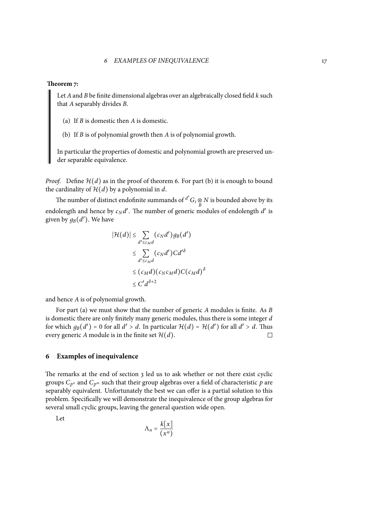#### **Theorem 7:**

Let *A*and *B* be finite dimensional algebras over an algebraically closed field *k* such that *A* separably divides *B*.

(a) If *B* is domestic then *A* is domestic.

(b) If *B* is of polynomial growth then *A* is of polynomial growth.

<span id="page-16-2"></span><span id="page-16-1"></span>In particular the properties of domestic and polynomial growth are preserved under separable equivalence.

*Proof.* Define  $H(d)$  as in the proof of theorem 6. For part (b) it is enough to bound the cardinality of  $H(d)$  by a polynomial in *d*.

The number of distinct endofinite summands of  $\frac{d'}{G_i} \underset{B}{\otimes} N$  is bounded above by its endolength and hence by  $c_N d'$ . The number of [ge](#page-14-2)neric m[odul](#page-16-1)es of endolength  $d'$  is given by  $g_B(d')$ . We have

$$
|\mathcal{H}(d)| \leq \sum_{d' \leq c_M d} (c_N d') g_B(d')
$$
  
\n
$$
\leq \sum_{d' \leq c_M d} (c_N d') C d'^{\delta}
$$
  
\n
$$
\leq (c_M d) (c_N c_M d) C (c_M d)^{\delta}
$$
  
\n
$$
\leq C' d^{\delta+2}
$$

and hence *A* is of polynomial growth.

For part (a) we must show that the number of generic *A* modules is finite. As *B* is domestic there are only finitely many generic modules, thus there is some integer *d* for which  $g_B(d') = 0$  for all  $d' > d$ . In particular  $\mathcal{H}(d) = \mathcal{H}(d')$  for all  $d' > d$ . Thus every generic *[A](#page-16-2)* module is in the finite set  $H(d)$ .

## **6 Examples of inequivalence**

<span id="page-16-0"></span>The remarks at the end of section 3 led us to ask whether or not there exist cyclic groups  $C_{p^n}$  and  $C_{p^m}$  such that their group algebras over a field of characteristic  $p$  are separably equivalent. Unfortunately the best we can offer is a partial solution to this problem. Specifically we will demonstrate the inequivalence of the group algebras for several small cyclic groups, leaving [th](#page-5-0)e general question wide open.

Let

$$
\Lambda_n = \frac{k[x]}{(x^n)}
$$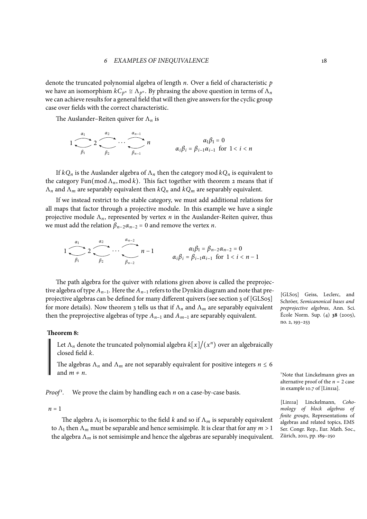denote the truncated polynomial algebra of length *n*. Over a field of characteristic *p* we have an isomorphism  $kC_{p^n} \cong \Lambda_{p^n}$ . By phrasing the above question in terms of  $\Lambda_n$ we can achieve results for a general field that will then give answers for the cyclic group case over fields with the correct characteristic.

The Auslander–Reiten quiver for Λ*<sup>n</sup>* is

$$
1 \underbrace{\qquad \qquad}_{\beta_1} 2 \underbrace{\qquad \qquad}_{\beta_2} \cdots \underbrace{\qquad \qquad}_{\beta_{n-1}} n \qquad \qquad \alpha_i \beta_i = \beta_{i-1} \alpha_{i-1} \text{ for } 1 < i < n
$$

If  $kQ_n$  is the Auslander algebra of  $\Lambda_n$  then the category mod  $kQ_n$  is equivalent to the category Fun(mod  $\Lambda_n$ , mod k). This fact together with theorem 2 means that if Λ*<sup>n</sup>* and Λ*<sup>m</sup>* are separably equivalent then *kQ<sup>n</sup>* and *kQ<sup>m</sup>* are separably equivalent.

If we instead restrict to the stable category, we must add additional relations for all maps that factor through a projective module. In this example [we](#page-9-0) have a single projective module Λ*n*, represented by vertex *n* in the Auslander-Reiten quiver, thus we must add the relation  $\beta_{n-2}\alpha_{n-2} = 0$  and remove the vertex *n*.

$$
1 \underbrace{\overbrace{\qquad \qquad }_{\beta_1} 2 \underbrace{\overbrace{\qquad \qquad }_{\beta_2} \cdots \overbrace{\qquad \qquad }_{\beta_{n-2}} n-1}_{\beta_{n-2}} n-1} \qquad \qquad \alpha_i \beta_i = \beta_{i-1} \alpha_{i-1} \text{ for } 1 < i < n-1
$$

The path algebra for the quiver with relations given above is called the preprojective algebra of type  $A_{n-1}$ . Here the  $A_{n-1}$  refers to the Dynkin diagram and note that preprojective algebras can be defined for many different quivers (see section 3 of [GLS05] for more details). Now theorem 3 tells us that if  $\Lambda_n$  and  $\Lambda_m$  are separably equivalent then the preprojective algebras of type  $A_{n-1}$  and  $A_{m-1}$  are separably equivalent.

## **Theorem 8:**

<span id="page-17-0"></span>Let  $\Lambda_n$  denote the truncated polynomial algebra  $k[x]/(x^n)$  over an algebraically closed field *k*.

The algebras  $\Lambda_n$  and  $\Lambda_m$  are not separably equivalent for positive integers  $n \leq 6$ and *<sup>m</sup>* <sup>≠</sup> *<sup>n</sup>*.

 $Proof<sup>1</sup>$ . *.* We prove the claim by handling each *n* on a case-by-case basis.

#### $n = 1$

The algebra Λ<sup>1</sup> is isomorphic to the field *k* and so if Λ*<sup>m</sup>* is separably equivalent to  $\Lambda_1$  then  $\Lambda_m$  must be separable and hence semisimple. It is clear that for any  $m > 1$ the algebra  $\Lambda_m$  is not semisimple and hence the algebras are separably inequivalent.

[GLS05] Geiss, Leclerc, and Schröer, *Semicanonical bases and preprojective algebras*, Ann. Sci. École Norm. Sup. (4) **38** (2005), no. 2, 193–253

<sup>1</sup>Note that Linckelmann gives an alternative proof of the *n* = 2 case in example 10.7 of [Lin11a].

[Lin11a] Linckelmann, *Cohomology of block algebras of finite groups*, Representations of algebras and related topics, EMS Ser. Congr. Rep., Eur. Math. Soc., Zürich, 2011, pp. 189–250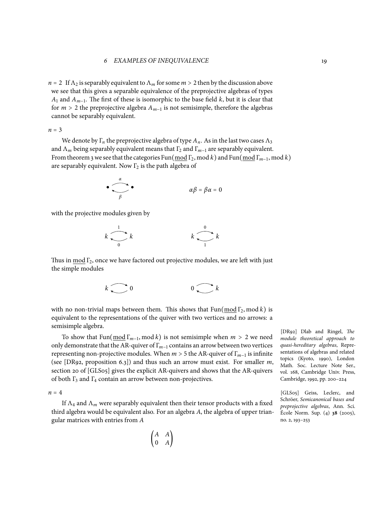$n = 2$  If  $\Lambda_2$  is separably equivalent to  $\Lambda_m$  for some  $m > 2$  then by the discussion above we see that this gives a separable equivalence of the preprojective algebras of types *A*<sub>1</sub> and *A*<sub>*m*−1</sub>. The first of these is isomorphic to the base field *k*, but it is clear that for  $m > 2$  the preprojective algebra  $A_{m-1}$  is not semisimple, therefore the algebras cannot be separably equivalent.

*<sup>n</sup>* <sup>=</sup> <sup>3</sup>

We denote by  $\Gamma_n$  the preprojective algebra of type  $A_n$ . As in the last two cases  $\Lambda_3$ and Λ<sub>m</sub> being separably equivalent means that Γ<sub>2</sub> and Γ<sub>m−1</sub> are separably equivalent. From theorem 3 we see that the categories Fun( $\text{mod } \Gamma_2$ , mod *k*) and Fun( $\text{mod } \Gamma_{m-1}$ , mod *k*) are separably equivalent. Now  $\Gamma_2$  is the path algebra of

$$
\bullet \qquad \qquad \bullet \qquad \qquad \alpha \beta = \beta \alpha = 0
$$

with the projective modules given by



Thus in  $mod \Gamma_2$ , once we have factored out projective modules, we are left with just the simple modules

$$
k \bigodot 0 \qquad \qquad 0 \bigodot k
$$

with no non-trivial maps between them. This shows that  $Fun(mod \Gamma_2, mod k)$  is equivalent to the representations of the quiver with two vertices and no arrows: a semisimple algebra.

To show that  $\text{Fun}(\text{mod } \Gamma_{m-1}, \text{mod } k)$  is not semisimple when  $m > 2$  we need only demonstrate that the AR-quiver of Γ*m*−<sup>1</sup> contains an arrow between two vertices representing non-projective modules. When *<sup>m</sup>* <sup>&</sup>gt; <sup>5</sup> the AR-quiver of <sup>Γ</sup>*m*−<sup>1</sup> is infinite (see [DR92, proposition 6.3]) and thus such an arrow must exist. For smaller *m*, section 20 of [GLS05] gives the explicit AR-quivers and shows that the AR-quivers of both  $\Gamma_3$  and  $\Gamma_4$  contain an arrow between non-projectives.

 $n = 4$ 

If Λ<sup>4</sup> and Λ*<sup>m</sup>* were separably equivalent then their tensor products with a fixed third algebra would be equivalent also. For an algebra *A*, the algebra of upper triangular matrices with entries from *A*

> ( *A A* 0 *A* )

[DR92] Dlab and Ringel, *The module theoretical approach to quasi-hereditary algebras*, Representations of algebras and related topics (Kyoto, 1990), London Math. Soc. Lecture Note Ser., vol. 168, Cambridge Univ. Press, Cambridge, 1992, pp. 200–224

[GLS05] Geiss, Leclerc, and Schröer, *Semicanonical bases and preprojective algebras*, Ann. Sci. École Norm. Sup. (4) **38** (2005), no. 2, 193–253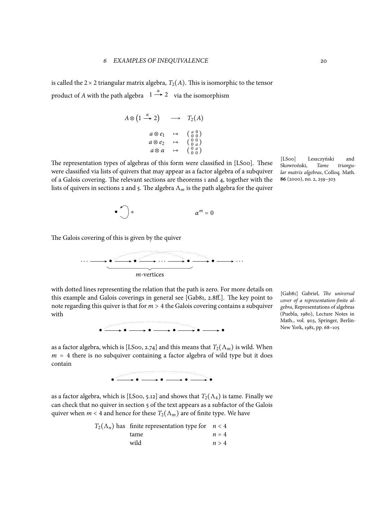is called the  $2 \times 2$  triangular matrix algebra,  $T_2(A)$ . This is isomorphic to the tensor product of *A* with the path algebra  $1 \stackrel{\alpha}{\rightarrow} 2$  via the isomorphism

$$
A \otimes (1 \xrightarrow{\alpha} 2) \longrightarrow T_2(A)
$$
  
\n
$$
a \otimes e_1 \rightarrow (a \otimes 0)
$$
  
\n
$$
a \otimes e_2 \rightarrow (0 \otimes 0)
$$
  
\n
$$
a \otimes \alpha \rightarrow (0 \otimes a)
$$
  
\n
$$
\rightarrow (0 \otimes a)
$$
  
\n
$$
\rightarrow (0 \otimes a)
$$

The representation types of algebras of this form were classified in [LS00]. These were classified via lists of quivers that may appear as a factor algebra of a subquiver of a Galois covering. The relevant sections are theorems 1 and 4, together with the lists of quivers in sections 2 and 5. The algebra  $\Lambda_m$  is the path algebra for the quiver



The Galois covering of this is given by the quiver



with dotted lines representing the relation that the path is zero. For more details on this example and Galois coverings in general see [Gab81, 2.8ff.]. The key point to note regarding this quiver is that for *<sup>m</sup>* <sup>&</sup>gt; <sup>4</sup> the Galois covering contains a subquiver with



[Gab81] Gabriel, *The universal cover of a representation-finite algebra*, Representations of algebras (Puebla, 1980), Lecture Notes in Math., vol. 903, Springer, Berlin-New York, 1981, pp. 68–105

as a factor algebra, which is [LS00, 2.74] and this means that  $T_2(\Lambda_m)$  is wild. When  $m = 4$  there is no subquiver containing a factor algebra of wild type but it does contain



as a factor algebra, which is [LS00, 5.12] and shows that  $T_2(\Lambda_4)$  is tame. Finally we can check that no quiver in section 5 of the text appears as a subfactor of the Galois quiver when  $m < 4$  and hence for these  $T_2(\Lambda_m)$  are of finite type. We have

| $T_2(\Lambda_n)$ has finite representation type for $n < 4$ |       |
|-------------------------------------------------------------|-------|
| tame                                                        | $n=4$ |
| wild                                                        | n > 4 |
|                                                             |       |

[LS00] Leszczyński and Skowroński, *Tame triangular matrix algebras*, Colloq. Math. **86** (2000), no. 2, 259–303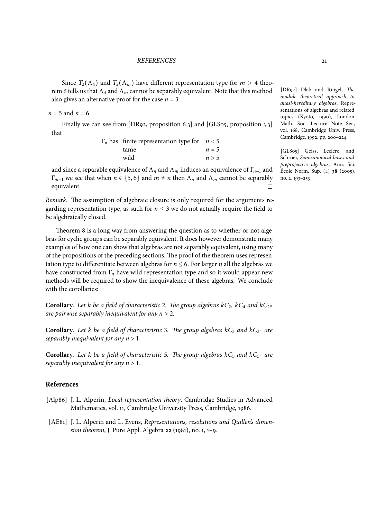Since  $T_2(\Lambda_4)$  and  $T_2(\Lambda_m)$  have different representation type for  $m > 4$  theorem 6 tells us that  $\Lambda_4$  and  $\Lambda_m$  cannot be separably equivalent. Note that this method also gives an alternative proof for the case  $n = 3$ .

 $n = 5$  and  $n = 6$ 

[Fi](#page-14-2)nally we can see from [DR92, proposition 6.3] and [GLS05, proposition 3.3] that

| $\Gamma_n$ has finite representation type for $n < 5$ |       |
|-------------------------------------------------------|-------|
| tame                                                  | $n=5$ |
| wild                                                  | n > 5 |
|                                                       |       |

and since a separable equivalence of  $\Lambda_n$  and  $\Lambda_m$  induces an equivalence of  $\Gamma_{n-1}$  and *Γ<sub>m−1</sub>* we see that when *n* ∈ {5, 6} and *m* ≠ *n* then  $Λ$ <sub>*n*</sub> and  $Λ$ <sub>*m*</sub> cannot be separably equivalent. equivalent.

*Remark.* The assumption of algebraic closure is only required for the arguments regarding representation type, as such for  $n \leq 3$  we do not actually require the field to be algebraically closed.

Theorem 8 is a long way from answering the question as to whether or not algebras for cyclic groups can be separably equivalent. It does however demonstrate many examples of how one can show that algebras are not separably equivalent, using many of the propositions of the preceding sections. The proof of the theorem uses representation type to [d](#page-17-0)ifferentiate between algebras for  $n \leq 6$ . For larger *n* all the algebras we have constructed from Γ*<sup>n</sup>* have wild representation type and so it would appear new methods will be required to show the inequivalence of these algebras. We conclude with the corollaries:

**Corollary.** *Let k be a field of characteristic* 2*. The group algebras kC*2*, kC*<sup>4</sup> *and kC*<sup>2</sup> *n are pairwise separably inequivalent for any <sup>n</sup>* <sup>&</sup>gt; <sup>2</sup>*.*

**Corollary.** *Let k be a field of characteristic* 3*. The group algebras kC*<sup>3</sup> *and kC*<sup>3</sup> *<sup>n</sup> are separably inequivalent for any <sup>n</sup>* <sup>&</sup>gt; <sup>1</sup>*.*

**Corollary.** Let *k* be a field of characteristic 5. The group algebras  $kC_5$  and  $kC_{5^n}$  are *separably inequivalent for any <sup>n</sup>* <sup>&</sup>gt; <sup>1</sup>*.*

## **References**

- [Alp86] J. L. Alperin, *Local representation theory*, Cambridge Studies in Advanced Mathematics, vol. 11, Cambridge University Press, Cambridge, 1986.
- [AE81] J. L. Alperin and L. Evens, *Representations, resolutions and Quillen's dimension theorem*, J. Pure Appl. Algebra **22** (1981), no. 1, 1–9.

[DR92] Dlab and Ringel, *The module theoretical approach to quasi-hereditary algebras*, Representations of algebras and related topics (Kyoto, 1990), London Math. Soc. Lecture Note Ser., vol. 168, Cambridge Univ. Press, Cambridge, 1992, pp. 200–224

[GLS05] Geiss, Leclerc, and Schröer, *Semicanonical bases and preprojective algebras*, Ann. Sci. École Norm. Sup. (4) **38** (2005), no. 2, 193–253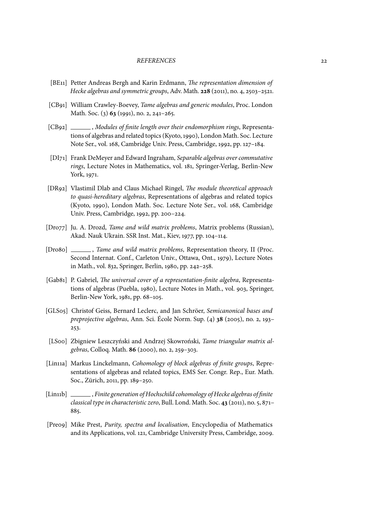#### *REFERENCES* 22

- [BE11] Petter Andreas Bergh and Karin Erdmann, *The representation dimension of Hecke algebras and symmetric groups*, Adv. Math. **228** (2011), no. 4, 2503–2521.
- [CB91] William Crawley-Boevey, *Tame algebras and generic modules*, Proc. London Math. Soc. (3) **63** (1991), no. 2, 241–265.
- [CB92] , *Modules of finite length over their endomorphism rings*, Representations of algebras and related topics (Kyoto, 1990), London Math. Soc. Lecture Note Ser., vol. 168, Cambridge Univ. Press, Cambridge, 1992, pp. 127–184.
- [DI71] Frank DeMeyer and Edward Ingraham, *Separable algebras over commutative rings*, Lecture Notes in Mathematics, vol. 181, Springer-Verlag, Berlin-New York, 1971.
- [DR92] Vlastimil Dlab and Claus Michael Ringel, *The module theoretical approach to quasi-hereditary algebras*, Representations of algebras and related topics (Kyoto, 1990), London Math. Soc. Lecture Note Ser., vol. 168, Cambridge Univ. Press, Cambridge, 1992, pp. 200–224.
- [Dro77] Ju. A. Drozd, *Tame and wild matrix problems*, Matrix problems (Russian), Akad. Nauk Ukrain. SSR Inst. Mat., Kiev, 1977, pp. 104–114.
- [Dro8o] \_\_\_\_\_\_, *Tame and wild matrix problems*, Representation theory, II (Proc. Second Internat. Conf., Carleton Univ., Ottawa, Ont., 1979), Lecture Notes in Math., vol. 832, Springer, Berlin, 1980, pp. 242–258.
- [Gab81] P. Gabriel, *The universal cover of a representation-finite algebra*, Representations of algebras (Puebla, 1980), Lecture Notes in Math., vol. 903, Springer, Berlin-New York, 1981, pp. 68–105.
- [GLS05] Christof Geiss, Bernard Leclerc, and Jan Schröer, *Semicanonical bases and preprojective algebras*, Ann. Sci. École Norm. Sup. (4) **38** (2005), no. 2, 193– 253.
- [LS00] Zbigniew Leszczyński and Andrzej Skowroński, *Tame triangular matrix algebras*, Colloq. Math. **86** (2000), no. 2, 259–303.
- [Lin11a] Markus Linckelmann, *Cohomology of block algebras of finite groups*, Representations of algebras and related topics, EMS Ser. Congr. Rep., Eur. Math. Soc., Zürich, 2011, pp. 189–250.
- [Lin11b] , *Finite generation of Hochschild cohomology of Hecke algebras of finite classical type in characteristic zero*, Bull. Lond. Math. Soc. **43** (2011), no. 5, 871– 885.
- [Pre09] Mike Prest, *Purity, spectra and localisation*, Encyclopedia of Mathematics and its Applications, vol. 121, Cambridge University Press, Cambridge, 2009.